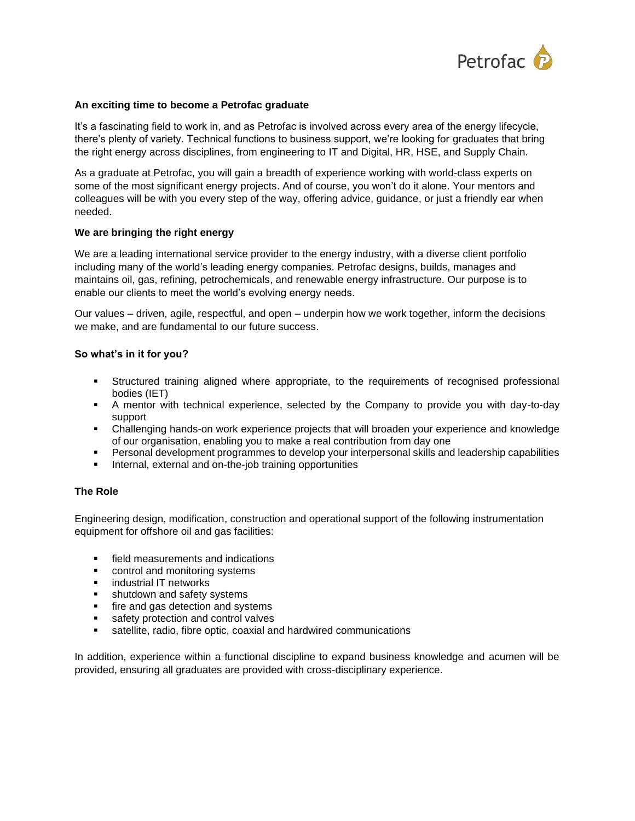

### **An exciting time to become a Petrofac graduate**

It's a fascinating field to work in, and as Petrofac is involved across every area of the energy lifecycle, there's plenty of variety. Technical functions to business support, we're looking for graduates that bring the right energy across disciplines, from engineering to IT and Digital, HR, HSE, and Supply Chain.

As a graduate at Petrofac, you will gain a breadth of experience working with world-class experts on some of the most significant energy projects. And of course, you won't do it alone. Your mentors and colleagues will be with you every step of the way, offering advice, guidance, or just a friendly ear when needed.

### **We are bringing the right energy**

We are a leading international service provider to the energy industry, with a diverse client portfolio including many of the world's leading energy companies. Petrofac designs, builds, manages and maintains oil, gas, refining, petrochemicals, and renewable energy infrastructure. Our purpose is to enable our clients to meet the world's evolving energy needs.

Our values – driven, agile, respectful, and open – underpin how we work together, inform the decisions we make, and are fundamental to our future success.

# **So what's in it for you?**

- Structured training aligned where appropriate, to the requirements of recognised professional bodies (IET)
- A mentor with technical experience, selected by the Company to provide you with day-to-day support
- Challenging hands-on work experience projects that will broaden your experience and knowledge of our organisation, enabling you to make a real contribution from day one
- Personal development programmes to develop your interpersonal skills and leadership capabilities
- Internal, external and on-the-job training opportunities

# **The Role**

Engineering design, modification, construction and operational support of the following instrumentation equipment for offshore oil and gas facilities:

- field measurements and indications
- control and monitoring systems
- industrial IT networks
- **EXEC** shutdown and safety systems
- **·** fire and gas detection and systems
- safety protection and control valves
- satellite, radio, fibre optic, coaxial and hardwired communications

In addition, experience within a functional discipline to expand business knowledge and acumen will be provided, ensuring all graduates are provided with cross-disciplinary experience.